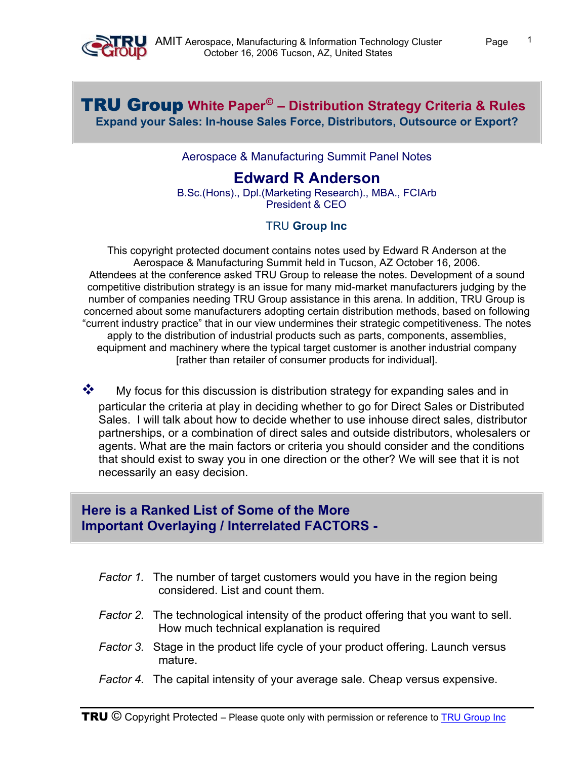

## TRU Group **White Paper© – Distribution Strategy Criteria & Rules Expand your Sales: In-house Sales Force, Distributors, Outsource or Export?**

#### Aerospace & Manufacturing Summit Panel Notes

# **Edward R Anderson**

B.Sc.(Hons)., Dpl.(Marketing Research)., MBA., FCIArb President & CEO

#### TRU **[Group Inc](http://trugroup.com/)**

This copyright protected document contains notes used by Edward R Anderson at the Aerospace & Manufacturing Summit held in Tucson, AZ October 16, 2006. Attendees at the conference asked TRU Group to release the notes. Development of a sound competitive distribution strategy is an issue for many mid-market manufacturers judging by the number of companies needing TRU Group assistance in this arena. In addition, TRU Group is concerned about some manufacturers adopting certain distribution methods, based on following "current industry practice" that in our view undermines their strategic competitiveness. The notes apply to the distribution of industrial products such as parts, components, assemblies, equipment and machinery where the typical target customer is another industrial company [rather than retailer of consumer products for individual].

 $\clubsuit$  My focus for this discussion is distribution strategy for expanding sales and in particular the criteria at play in deciding whether to go for Direct Sales or Distributed Sales. I will talk about how to decide whether to use inhouse direct sales, distributor partnerships, or a combination of direct sales and outside distributors, wholesalers or agents. What are the main factors or criteria you should consider and the conditions that should exist to sway you in one direction or the other? We will see that it is not necessarily an easy decision.

## **Here is a Ranked List of Some of the More Important Overlaying / Interrelated FACTORS -**

- *Factor 1.* The number of target customers would you have in the region being considered. List and count them.
- *Factor 2.* The technological intensity of the product offering that you want to sell. How much technical explanation is required
- *Factor 3.* Stage in the product life cycle of your product offering. Launch versus mature.
- *Factor 4.* The capital intensity of your average sale. Cheap versus expensive.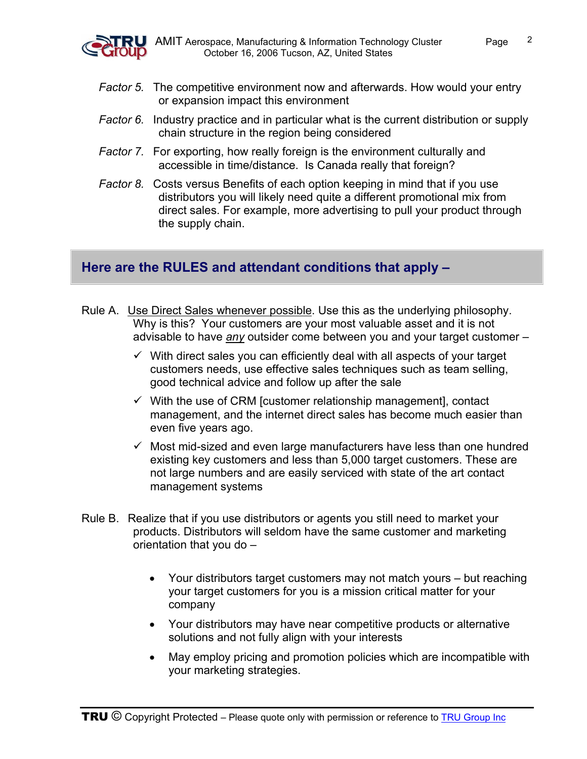

- *Factor 5.* The competitive environment now and afterwards. How would your entry or expansion impact this environment
- *Factor 6.* Industry practice and in particular what is the current distribution or supply chain structure in the region being considered
- *Factor 7.* For exporting, how really foreign is the environment culturally and accessible in time/distance. Is Canada really that foreign?
- *Factor 8.* Costs versus Benefits of each option keeping in mind that if you use distributors you will likely need quite a different promotional mix from direct sales. For example, more advertising to pull your product through the supply chain.

## **Here are the RULES and attendant conditions that apply –**

- Rule A. Use Direct Sales whenever possible. Use this as the underlying philosophy. Why is this? Your customers are your most valuable asset and it is not advisable to have *any* outsider come between you and your target customer –
	- $\checkmark$  With direct sales you can efficiently deal with all aspects of your target customers needs, use effective sales techniques such as team selling, good technical advice and follow up after the sale
	- $\checkmark$  With the use of CRM [customer relationship management], contact management, and the internet direct sales has become much easier than even five years ago.
	- $\checkmark$  Most mid-sized and even large manufacturers have less than one hundred existing key customers and less than 5,000 target customers. These are not large numbers and are easily serviced with state of the art contact management systems
- Rule B. Realize that if you use distributors or agents you still need to market your products. Distributors will seldom have the same customer and marketing orientation that you do –
	- Your distributors target customers may not match yours but reaching your target customers for you is a mission critical matter for your company
	- Your distributors may have near competitive products or alternative solutions and not fully align with your interests
	- May employ pricing and promotion policies which are incompatible with your marketing strategies.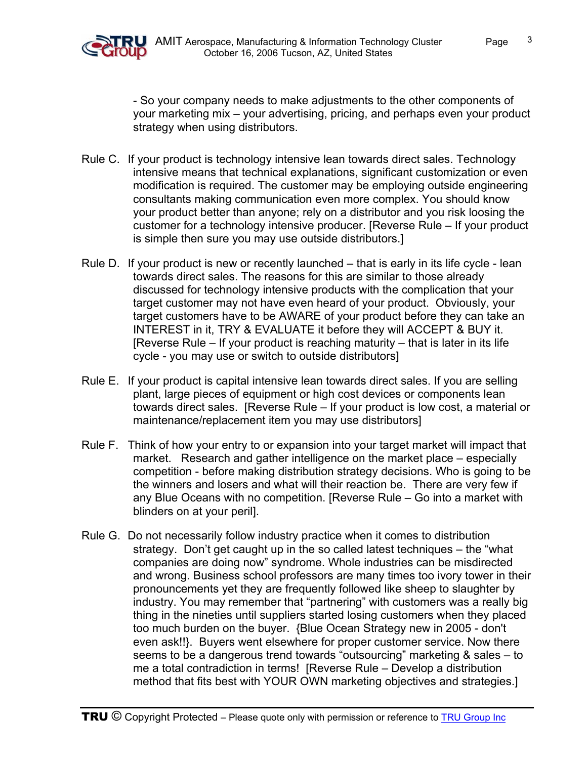

- So your company needs to make adjustments to the other components of your marketing mix – your advertising, pricing, and perhaps even your product strategy when using distributors.

- Rule C. If your product is technology intensive lean towards direct sales. Technology intensive means that technical explanations, significant customization or even modification is required. The customer may be employing outside engineering consultants making communication even more complex. You should know your product better than anyone; rely on a distributor and you risk loosing the customer for a technology intensive producer. [Reverse Rule – If your product is simple then sure you may use outside distributors.]
- Rule D. If your product is new or recently launched that is early in its life cycle lean towards direct sales. The reasons for this are similar to those already discussed for technology intensive products with the complication that your target customer may not have even heard of your product. Obviously, your target customers have to be AWARE of your product before they can take an INTEREST in it, TRY & EVALUATE it before they will ACCEPT & BUY it. [Reverse Rule – If your product is reaching maturity – that is later in its life cycle - you may use or switch to outside distributors]
- Rule E. If your product is capital intensive lean towards direct sales. If you are selling plant, large pieces of equipment or high cost devices or components lean towards direct sales. [Reverse Rule – If your product is low cost, a material or maintenance/replacement item you may use distributors]
- Rule F. Think of how your entry to or expansion into your target market will impact that market. Research and gather intelligence on the market place – especially competition - before making distribution strategy decisions. Who is going to be the winners and losers and what will their reaction be. There are very few if any Blue Oceans with no competition. [Reverse Rule – Go into a market with blinders on at your peril].
- Rule G. Do not necessarily follow industry practice when it comes to distribution strategy. Don't get caught up in the so called latest techniques – the "what companies are doing now" syndrome. Whole industries can be misdirected and wrong. Business school professors are many times too ivory tower in their pronouncements yet they are frequently followed like sheep to slaughter by industry. You may remember that "partnering" with customers was a really big thing in the nineties until suppliers started losing customers when they placed too much burden on the buyer. {Blue Ocean Strategy new in 2005 - don't even ask!!}. Buyers went elsewhere for proper customer service. Now there seems to be a dangerous trend towards "outsourcing" marketing & sales – to me a total contradiction in terms! [Reverse Rule – Develop a distribution method that fits best with YOUR OWN marketing objectives and strategies.]